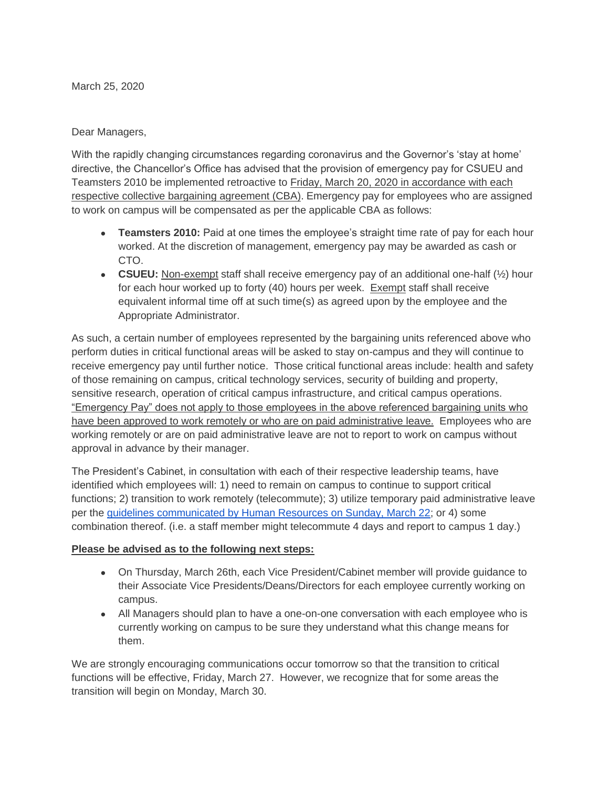March 25, 2020

Dear Managers,

With the rapidly changing circumstances regarding coronavirus and the Governor's 'stay at home' directive, the Chancellor's Office has advised that the provision of emergency pay for CSUEU and Teamsters 2010 be implemented retroactive to Friday, March 20, 2020 in accordance with each respective collective bargaining agreement (CBA). Emergency pay for employees who are assigned to work on campus will be compensated as per the applicable CBA as follows:

- **Teamsters 2010:** Paid at one times the employee's straight time rate of pay for each hour worked. At the discretion of management, emergency pay may be awarded as cash or CTO.
- **CSUEU:** Non-exempt staff shall receive emergency pay of an additional one-half ( $\frac{1}{2}$ ) hour for each hour worked up to forty (40) hours per week. Exempt staff shall receive equivalent informal time off at such time(s) as agreed upon by the employee and the Appropriate Administrator.

As such, a certain number of employees represented by the bargaining units referenced above who perform duties in critical functional areas will be asked to stay on-campus and they will continue to receive emergency pay until further notice. Those critical functional areas include: health and safety of those remaining on campus, critical technology services, security of building and property, sensitive research, operation of critical campus infrastructure, and critical campus operations. "Emergency Pay" does not apply to those employees in the above referenced bargaining units who have been approved to work remotely or who are on paid administrative leave. Employees who are working remotely or are on paid administrative leave are not to report to work on campus without approval in advance by their manager.

The President's Cabinet, in consultation with each of their respective leadership teams, have identified which employees will: 1) need to remain on campus to continue to support critical functions; 2) transition to work remotely (telecommute); 3) utilize temporary paid administrative leave per the [guidelines communicated by Human Resources on Sunday, March 22;](http://fresnostate.edu/president/coronavirus/communication/3-22-20-hr-temp-paid-adm-leave.html) or 4) some combination thereof. (i.e. a staff member might telecommute 4 days and report to campus 1 day.)

## **Please be advised as to the following next steps:**

- On Thursday, March 26th, each Vice President/Cabinet member will provide quidance to their Associate Vice Presidents/Deans/Directors for each employee currently working on campus.
- All Managers should plan to have a one-on-one conversation with each employee who is currently working on campus to be sure they understand what this change means for them.

We are strongly encouraging communications occur tomorrow so that the transition to critical functions will be effective, Friday, March 27. However, we recognize that for some areas the transition will begin on Monday, March 30.